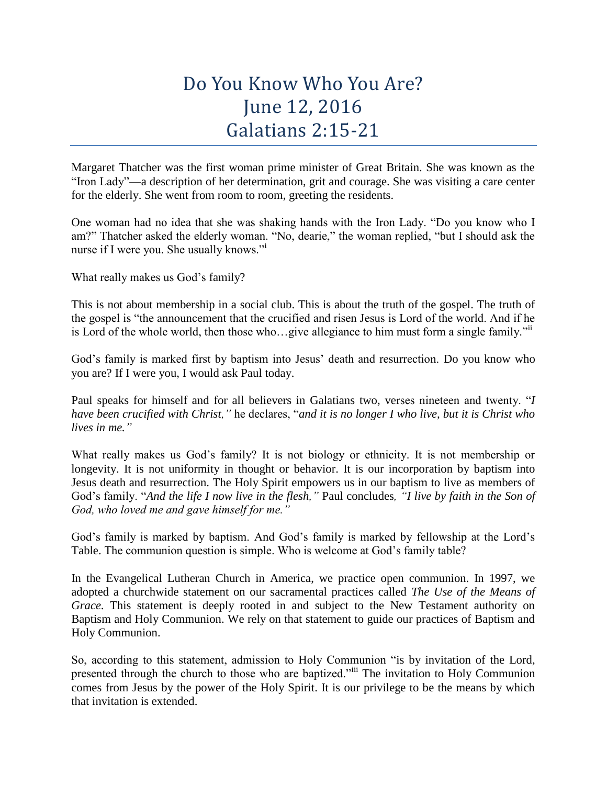## Do You Know Who You Are? June 12, 2016 Galatians 2:15-21

Margaret Thatcher was the first woman prime minister of Great Britain. She was known as the "Iron Lady"—a description of her determination, grit and courage. She was visiting a care center for the elderly. She went from room to room, greeting the residents.

One woman had no idea that she was shaking hands with the Iron Lady. "Do you know who I am?" Thatcher asked the elderly woman. "No, dearie," the woman replied, "but I should ask the nurse if I were you. She usually knows."<sup>i</sup>

What really makes us God's family?

This is not about membership in a social club. This is about the truth of the gospel. The truth of the gospel is "the announcement that the crucified and risen Jesus is Lord of the world. And if he is Lord of the whole world, then those who…give allegiance to him must form a single family."ii

God's family is marked first by baptism into Jesus' death and resurrection. Do you know who you are? If I were you, I would ask Paul today.

Paul speaks for himself and for all believers in Galatians two, verses nineteen and twenty. "*I have been crucified with Christ,"* he declares, "*and it is no longer I who live, but it is Christ who lives in me."*

What really makes us God's family? It is not biology or ethnicity. It is not membership or longevity. It is not uniformity in thought or behavior. It is our incorporation by baptism into Jesus death and resurrection. The Holy Spirit empowers us in our baptism to live as members of God's family. "*And the life I now live in the flesh,"* Paul concludes*, "I live by faith in the Son of God, who loved me and gave himself for me."*

God's family is marked by baptism. And God's family is marked by fellowship at the Lord's Table. The communion question is simple. Who is welcome at God's family table?

In the Evangelical Lutheran Church in America, we practice open communion. In 1997, we adopted a churchwide statement on our sacramental practices called *The Use of the Means of Grace*. This statement is deeply rooted in and subject to the New Testament authority on Baptism and Holy Communion. We rely on that statement to guide our practices of Baptism and Holy Communion.

So, according to this statement, admission to Holy Communion "is by invitation of the Lord, presented through the church to those who are baptized."iii The invitation to Holy Communion comes from Jesus by the power of the Holy Spirit. It is our privilege to be the means by which that invitation is extended.